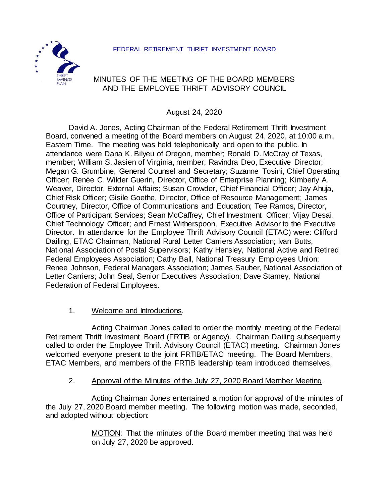#### FEDERAL RETIREMENT THRIFT INVESTMENT BOARD



# MINUTES OF THE MEETING OF THE BOARD MEMBERS AND THE EMPLOYEE THRIFT ADVISORY COUNCIL

August 24, 2020

David A. Jones, Acting Chairman of the Federal Retirement Thrift Investment Board, convened a meeting of the Board members on August 24, 2020, at 10:00 a.m., Eastern Time. The meeting was held telephonically and open to the public. In attendance were Dana K. Bilyeu of Oregon, member; Ronald D. McCray of Texas, member; William S. Jasien of Virginia, member; Ravindra Deo, Executive Director; Megan G. Grumbine, General Counsel and Secretary; Suzanne Tosini, Chief Operating Officer; Renée C. Wilder Guerin, Director, Office of Enterprise Planning; Kimberly A. Weaver, Director, External Affairs; Susan Crowder, Chief Financial Officer; Jay Ahuja, Chief Risk Officer; Gisile Goethe, Director, Office of Resource Management; James Courtney, Director, Office of Communications and Education; Tee Ramos, Director, Office of Participant Services; Sean McCaffrey, Chief Investment Officer; Vijay Desai, Chief Technology Officer; and Ernest Witherspoon, Executive Advisor to the Executive Director. In attendance for the Employee Thrift Advisory Council (ETAC) were: Clifford Dailing, ETAC Chairman, National Rural Letter Carriers Association; Ivan Butts, National Association of Postal Supervisors; Kathy Hensley, National Active and Retired Federal Employees Association; Cathy Ball, National Treasury Employees Union; Renee Johnson, Federal Managers Association; James Sauber, National Association of Letter Carriers; John Seal, Senior Executives Association; Dave Stamey, National Federation of Federal Employees.

1. Welcome and Introductions.

Acting Chairman Jones called to order the monthly meeting of the Federal Retirement Thrift Investment Board (FRTIB or Agency). Chairman Dailing subsequently called to order the Employee Thrift Advisory Council (ETAC) meeting. Chairman Jones welcomed everyone present to the joint FRTIB/ETAC meeting. The Board Members, ETAC Members, and members of the FRTIB leadership team introduced themselves.

### 2. Approval of the Minutes of the July 27, 2020 Board Member Meeting.

Acting Chairman Jones entertained a motion for approval of the minutes of the July 27, 2020 Board member meeting. The following motion was made, seconded, and adopted without objection:

> MOTION: That the minutes of the Board member meeting that was held on July 27, 2020 be approved.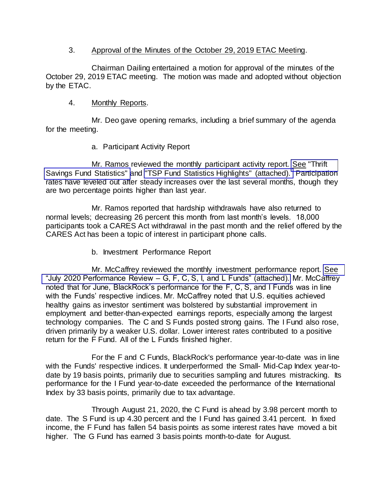### 3. Approval of the Minutes of the October 29, 2019 ETAC Meeting.

Chairman Dailing entertained a motion for approval of the minutes of the October 29, 2019 ETAC meeting. The motion was made and adopted without objection by the ETAC.

## 4. Monthly Reports.

Mr. Deo gave opening remarks, including a brief summary of the agenda for the meeting.

# a. Participant Activity Report

Mr. Ramos reviewed the monthly participant activity report. [See "Thrift](https://www.frtib.gov/pdf/minutes/2020/Aug/MM-2020Aug-Att1.pdf)  [Savings Fund Statistics" a](https://www.frtib.gov/pdf/minutes/2020/Aug/MM-2020Aug-Att1.pdf)nd ["TSP Fund Statistics Highlights" \(attached\).](https://www.frtib.gov/pdf/minutes/2020/Aug/MM-2020Aug-Att2.pdf) Participation rates have leveled out after steady increases over the last several months, though they are two percentage points higher than last year.

Mr. Ramos reported that hardship withdrawals have also returned to normal levels; decreasing 26 percent this month from last month's levels. 18,000 participants took a CARES Act withdrawal in the past month and the relief offered by the CARES Act has been a topic of interest in participant phone calls.

b. Investment Performance Report

Mr. McCaffrey reviewed the monthly investment performance report. See "July 2020 Performance Review – [G, F, C, S, I, and L Funds" \(attached\).](https://www.frtib.gov/pdf/minutes/2020/Aug/MM-2020Aug-Att3.pdf) Mr. McCaffrey noted that for June, BlackRock's performance for the F, C, S, and I Funds was in line with the Funds' respective indices. Mr. McCaffrey noted that U.S. equities achieved healthy gains as investor sentiment was bolstered by substantial improvement in employment and better-than-expected earnings reports, especially among the largest technology companies. The C and S Funds posted strong gains. The I Fund also rose, driven primarily by a weaker U.S. dollar. Lower interest rates contributed to a positive return for the F Fund. All of the L Funds finished higher.

For the F and C Funds, BlackRock's performance year-to-date was in line with the Funds' respective indices. It underperformed the Small- Mid-Cap Index year-todate by 19 basis points, primarily due to securities sampling and futures mistracking. Its performance for the I Fund year-to-date exceeded the performance of the International Index by 33 basis points, primarily due to tax advantage.

Through August 21, 2020, the C Fund is ahead by 3.98 percent month to date. The S Fund is up 4.30 percent and the I Fund has gained 3.41 percent. In fixed income, the F Fund has fallen 54 basis points as some interest rates have moved a bit higher. The G Fund has earned 3 basis points month-to-date for August.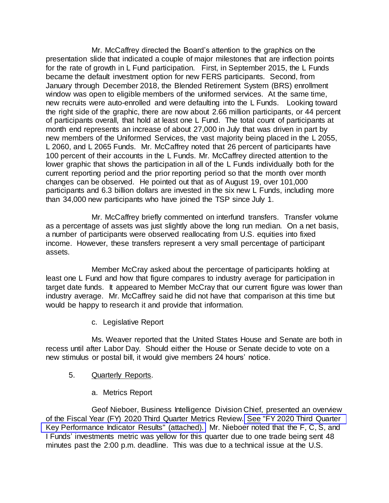Mr. McCaffrey directed the Board's attention to the graphics on the presentation slide that indicated a couple of major milestones that are inflection points for the rate of growth in L Fund participation. First, in September 2015, the L Funds became the default investment option for new FERS participants. Second, from January through December 2018, the Blended Retirement System (BRS) enrollment window was open to eligible members of the uniformed services. At the same time, new recruits were auto-enrolled and were defaulting into the L Funds. Looking toward the right side of the graphic, there are now about 2.66 million participants, or 44 percent of participants overall, that hold at least one L Fund. The total count of participants at month end represents an increase of about 27,000 in July that was driven in part by new members of the Uniformed Services, the vast majority being placed in the L 2055, L 2060, and L 2065 Funds. Mr. McCaffrey noted that 26 percent of participants have 100 percent of their accounts in the L Funds. Mr. McCaffrey directed attention to the lower graphic that shows the participation in all of the L Funds individually both for the current reporting period and the prior reporting period so that the month over month changes can be observed. He pointed out that as of August 19, over 101,000 participants and 6.3 billion dollars are invested in the six new L Funds, including more than 34,000 new participants who have joined the TSP since July 1.

Mr. McCaffrey briefly commented on interfund transfers. Transfer volume as a percentage of assets was just slightly above the long run median. On a net basis, a number of participants were observed reallocating from U.S. equities into fixed income. However, these transfers represent a very small percentage of participant assets.

Member McCray asked about the percentage of participants holding at least one L Fund and how that figure compares to industry average for participation in target date funds. It appeared to Member McCray that our current figure was lower than industry average. Mr. McCaffrey said he did not have that comparison at this time but would be happy to research it and provide that information.

c. Legislative Report

Ms. Weaver reported that the United States House and Senate are both in recess until after Labor Day. Should either the House or Senate decide to vote on a new stimulus or postal bill, it would give members 24 hours' notice.

- 5. **Quarterly Reports.** 
	- a. Metrics Report

Geof Nieboer, Business Intelligence Division Chief, presented an overview of the Fiscal Year (FY) 2020 Third Quarter Metrics Review. [See "FY 2020 Third Quarter](https://www.frtib.gov/pdf/minutes/2020/Aug/MM-2020Aug-Att4.pdf)  [Key Performance Indicator Results" \(attached\).](https://www.frtib.gov/pdf/minutes/2020/Aug/MM-2020Aug-Att4.pdf) Mr. Nieboer noted that the F, C, S, and I Funds' investments metric was yellow for this quarter due to one trade being sent 48 minutes past the 2:00 p.m. deadline. This was due to a technical issue at the U.S.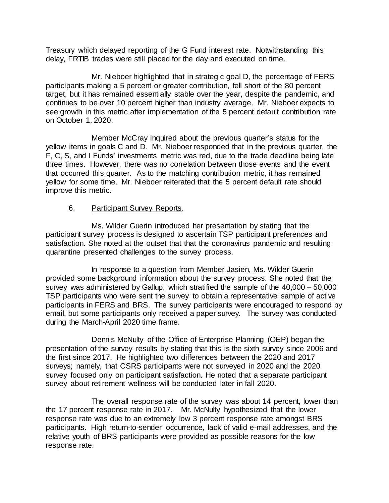Treasury which delayed reporting of the G Fund interest rate. Notwithstanding this delay, FRTIB trades were still placed for the day and executed on time.

Mr. Nieboer highlighted that in strategic goal D, the percentage of FERS participants making a 5 percent or greater contribution, fell short of the 80 percent target, but it has remained essentially stable over the year, despite the pandemic, and continues to be over 10 percent higher than industry average. Mr. Nieboer expects to see growth in this metric after implementation of the 5 percent default contribution rate on October 1, 2020.

Member McCray inquired about the previous quarter's status for the yellow items in goals C and D. Mr. Nieboer responded that in the previous quarter, the F, C, S, and I Funds' investments metric was red, due to the trade deadline being late three times. However, there was no correlation between those events and the event that occurred this quarter. As to the matching contribution metric, it has remained yellow for some time. Mr. Nieboer reiterated that the 5 percent default rate should improve this metric.

## 6. Participant Survey Reports.

Ms. Wilder Guerin introduced her presentation by stating that the participant survey process is designed to ascertain TSP participant preferences and satisfaction. She noted at the outset that that the coronavirus pandemic and resulting quarantine presented challenges to the survey process.

In response to a question from Member Jasien, Ms. Wilder Guerin provided some background information about the survey process. She noted that the survey was administered by Gallup, which stratified the sample of the 40,000 – 50,000 TSP participants who were sent the survey to obtain a representative sample of active participants in FERS and BRS. The survey participants were encouraged to respond by email, but some participants only received a paper survey. The survey was conducted during the March-April 2020 time frame.

Dennis McNulty of the Office of Enterprise Planning (OEP) began the presentation of the survey results by stating that this is the sixth survey since 2006 and the first since 2017. He highlighted two differences between the 2020 and 2017 surveys; namely, that CSRS participants were not surveyed in 2020 and the 2020 survey focused only on participant satisfaction. He noted that a separate participant survey about retirement wellness will be conducted later in fall 2020.

The overall response rate of the survey was about 14 percent, lower than the 17 percent response rate in 2017. Mr. McNulty hypothesized that the lower response rate was due to an extremely low 3 percent response rate amongst BRS participants. High return-to-sender occurrence, lack of valid e-mail addresses, and the relative youth of BRS participants were provided as possible reasons for the low response rate.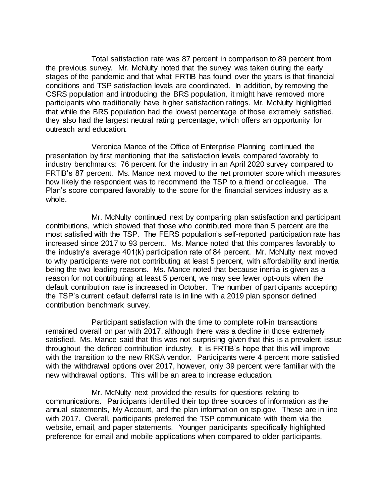Total satisfaction rate was 87 percent in comparison to 89 percent from the previous survey. Mr. McNulty noted that the survey was taken during the early stages of the pandemic and that what FRTIB has found over the years is that financial conditions and TSP satisfaction levels are coordinated. In addition, by removing the CSRS population and introducing the BRS population, it might have removed more participants who traditionally have higher satisfaction ratings. Mr. McNulty highlighted that while the BRS population had the lowest percentage of those extremely satisfied, they also had the largest neutral rating percentage, which offers an opportunity for outreach and education.

Veronica Mance of the Office of Enterprise Planning continued the presentation by first mentioning that the satisfaction levels compared favorably to industry benchmarks: 76 percent for the industry in an April 2020 survey compared to FRTIB's 87 percent. Ms. Mance next moved to the net promoter score which measures how likely the respondent was to recommend the TSP to a friend or colleague. The Plan's score compared favorably to the score for the financial services industry as a whole.

Mr. McNulty continued next by comparing plan satisfaction and participant contributions, which showed that those who contributed more than 5 percent are the most satisfied with the TSP. The FERS population's self-reported participation rate has increased since 2017 to 93 percent. Ms. Mance noted that this compares favorably to the industry's average 401(k) participation rate of 84 percent. Mr. McNulty next moved to why participants were not contributing at least 5 percent, with affordability and inertia being the two leading reasons. Ms. Mance noted that because inertia is given as a reason for not contributing at least 5 percent, we may see fewer opt-outs when the default contribution rate is increased in October. The number of participants accepting the TSP's current default deferral rate is in line with a 2019 plan sponsor defined contribution benchmark survey.

Participant satisfaction with the time to complete roll-in transactions remained overall on par with 2017, although there was a decline in those extremely satisfied. Ms. Mance said that this was not surprising given that this is a prevalent issue throughout the defined contribution industry. It is FRTIB's hope that this will improve with the transition to the new RKSA vendor. Participants were 4 percent more satisfied with the withdrawal options over 2017, however, only 39 percent were familiar with the new withdrawal options. This will be an area to increase education.

Mr. McNulty next provided the results for questions relating to communications. Participants identified their top three sources of information as the annual statements, My Account, and the plan information on tsp.gov. These are in line with 2017. Overall, participants preferred the TSP communicate with them via the website, email, and paper statements. Younger participants specifically highlighted preference for email and mobile applications when compared to older participants.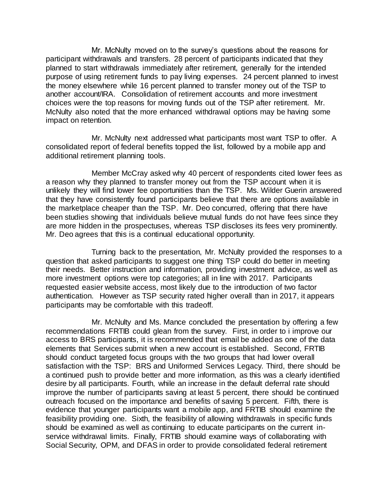Mr. McNulty moved on to the survey's questions about the reasons for participant withdrawals and transfers. 28 percent of participants indicated that they planned to start withdrawals immediately after retirement, generally for the intended purpose of using retirement funds to pay living expenses. 24 percent planned to invest the money elsewhere while 16 percent planned to transfer money out of the TSP to another account/IRA. Consolidation of retirement accounts and more investment choices were the top reasons for moving funds out of the TSP after retirement. Mr. McNulty also noted that the more enhanced withdrawal options may be having some impact on retention.

Mr. McNulty next addressed what participants most want TSP to offer. A consolidated report of federal benefits topped the list, followed by a mobile app and additional retirement planning tools.

Member McCray asked why 40 percent of respondents cited lower fees as a reason why they planned to transfer money out from the TSP account when it is unlikely they will find lower fee opportunities than the TSP. Ms. Wilder Guerin answered that they have consistently found participants believe that there are options available in the marketplace cheaper than the TSP. Mr. Deo concurred, offering that there have been studies showing that individuals believe mutual funds do not have fees since they are more hidden in the prospectuses, whereas TSP discloses its fees very prominently. Mr. Deo agrees that this is a continual educational opportunity.

Turning back to the presentation, Mr. McNulty provided the responses to a question that asked participants to suggest one thing TSP could do better in meeting their needs. Better instruction and information, providing investment advice, as well as more investment options were top categories; all in line with 2017. Participants requested easier website access, most likely due to the introduction of two factor authentication. However as TSP security rated higher overall than in 2017, it appears participants may be comfortable with this tradeoff.

Mr. McNulty and Ms. Mance concluded the presentation by offering a few recommendations FRTIB could glean from the survey. First, in order to i improve our access to BRS participants, it is recommended that email be added as one of the data elements that Services submit when a new account is established. Second, FRTIB should conduct targeted focus groups with the two groups that had lower overall satisfaction with the TSP: BRS and Uniformed Services Legacy. Third, there should be a continued push to provide better and more information, as this was a clearly identified desire by all participants. Fourth, while an increase in the default deferral rate should improve the number of participants saving at least 5 percent, there should be continued outreach focused on the importance and benefits of saving 5 percent. Fifth, there is evidence that younger participants want a mobile app, and FRTIB should examine the feasibility providing one. Sixth, the feasibility of allowing withdrawals in specific funds should be examined as well as continuing to educate participants on the current inservice withdrawal limits. Finally, FRTIB should examine ways of collaborating with Social Security, OPM, and DFAS in order to provide consolidated federal retirement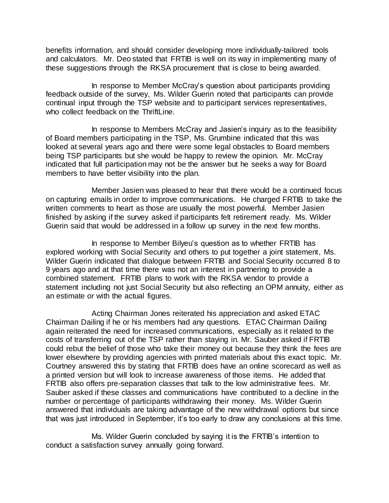benefits information, and should consider developing more individually-tailored tools and calculators. Mr. Deo stated that FRTIB is well on its way in implementing many of these suggestions through the RKSA procurement that is close to being awarded.

In response to Member McCray's question about participants providing feedback outside of the survey, Ms. Wilder Guerin noted that participants can provide continual input through the TSP website and to participant services representatives, who collect feedback on the ThriftLine.

In response to Members McCray and Jasien's inquiry as to the feasibility of Board members participating in the TSP, Ms. Grumbine indicated that this was looked at several years ago and there were some legal obstacles to Board members being TSP participants but she would be happy to review the opinion. Mr. McCray indicated that full participation may not be the answer but he seeks a way for Board members to have better visibility into the plan.

Member Jasien was pleased to hear that there would be a continued focus on capturing emails in order to improve communications. He charged FRTIB to take the written comments to heart as those are usually the most powerful. Member Jasien finished by asking if the survey asked if participants felt retirement ready. Ms. Wilder Guerin said that would be addressed in a follow up survey in the next few months.

In response to Member Bilyeu's question as to whether FRTIB has explored working with Social Security and others to put together a joint statement, Ms. Wilder Guerin indicated that dialogue between FRTIB and Social Security occurred 8 to 9 years ago and at that time there was not an interest in partnering to provide a combined statement. FRTIB plans to work with the RKSA vendor to provide a statement including not just Social Security but also reflecting an OPM annuity, either as an estimate or with the actual figures.

Acting Chairman Jones reiterated his appreciation and asked ETAC Chairman Dailing if he or his members had any questions. ETAC Chairman Dailing again reiterated the need for increased communications, especially as it related to the costs of transferring out of the TSP rather than staying in. Mr. Sauber asked if FRTIB could rebut the belief of those who take their money out because they think the fees are lower elsewhere by providing agencies with printed materials about this exact topic. Mr. Courtney answered this by stating that FRTIB does have an online scorecard as well as a printed version but will look to increase awareness of those items. He added that FRTIB also offers pre-separation classes that talk to the low administrative fees. Mr. Sauber asked if these classes and communications have contributed to a decline in the number or percentage of participants withdrawing their money. Ms. Wilder Guerin answered that individuals are taking advantage of the new withdrawal options but since that was just introduced in September, it's too early to draw any conclusions at this time.

Ms. Wilder Guerin concluded by saying it is the FRTIB's intention to conduct a satisfaction survey annually going forward.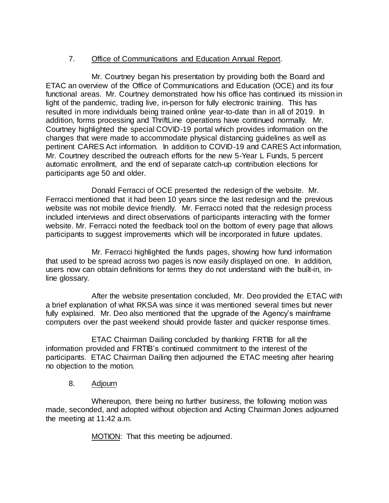# 7. Office of Communications and Education Annual Report.

Mr. Courtney began his presentation by providing both the Board and ETAC an overview of the Office of Communications and Education (OCE) and its four functional areas. Mr. Courtney demonstrated how his office has continued its mission in light of the pandemic, trading live, in-person for fully electronic training. This has resulted in more individuals being trained online year-to-date than in all of 2019. In addition, forms processing and ThriftLine operations have continued normally. Mr. Courtney highlighted the special COVID-19 portal which provides information on the changes that were made to accommodate physical distancing guidelines as well as pertinent CARES Act information. In addition to COVID-19 and CARES Act information, Mr. Courtney described the outreach efforts for the new 5-Year L Funds, 5 percent automatic enrollment, and the end of separate catch-up contribution elections for participants age 50 and older.

Donald Ferracci of OCE presented the redesign of the website. Mr. Ferracci mentioned that it had been 10 years since the last redesign and the previous website was not mobile device friendly. Mr. Ferracci noted that the redesign process included interviews and direct observations of participants interacting with the former website. Mr. Ferracci noted the feedback tool on the bottom of every page that allows participants to suggest improvements which will be incorporated in future updates.

Mr. Ferracci highlighted the funds pages, showing how fund information that used to be spread across two pages is now easily displayed on one. In addition, users now can obtain definitions for terms they do not understand with the built-in, inline glossary.

After the website presentation concluded, Mr. Deo provided the ETAC with a brief explanation of what RKSA was since it was mentioned several times but never fully explained. Mr. Deo also mentioned that the upgrade of the Agency's mainframe computers over the past weekend should provide faster and quicker response times.

ETAC Chairman Dailing concluded by thanking FRTIB for all the information provided and FRTIB's continued commitment to the interest of the participants. ETAC Chairman Dailing then adjourned the ETAC meeting after hearing no objection to the motion.

8. Adjourn

Whereupon, there being no further business, the following motion was made, seconded, and adopted without objection and Acting Chairman Jones adjourned the meeting at 11:42 a.m.

MOTION: That this meeting be adjourned.